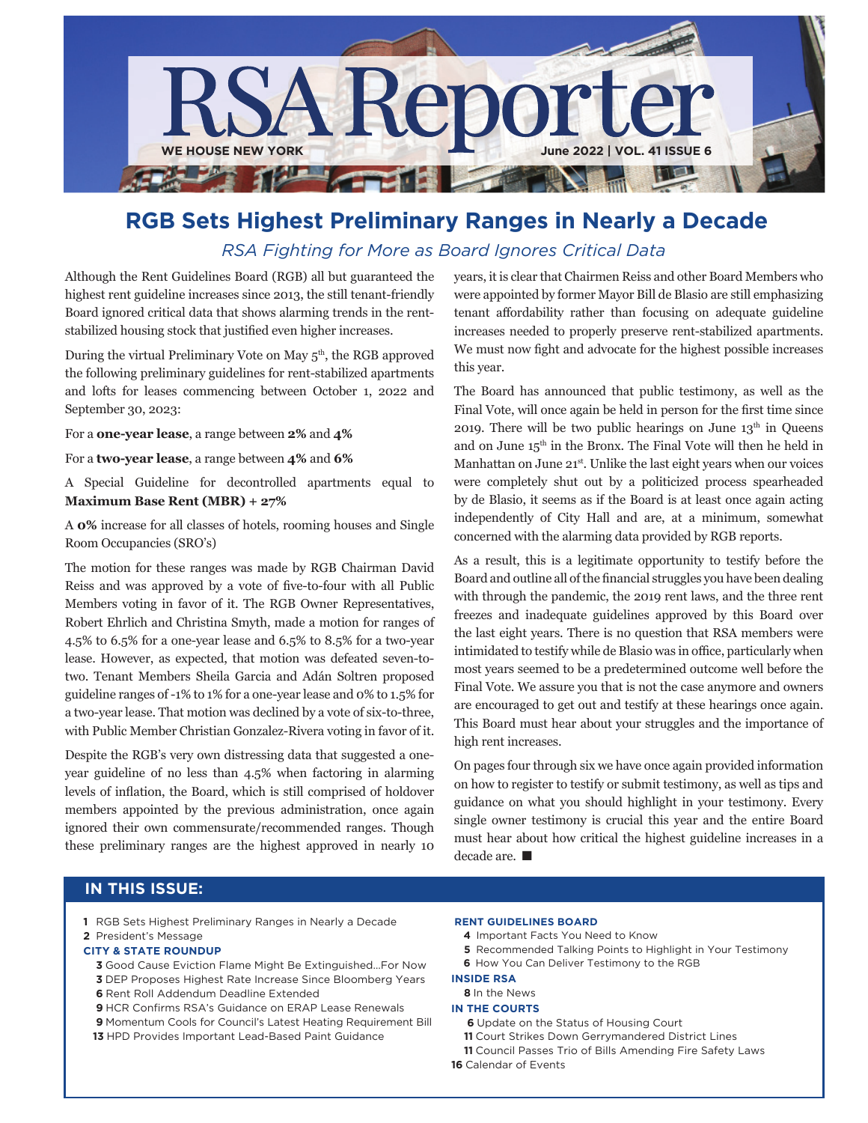

## **RgB Sets Highest Preliminary Ranges in Nearly a Decade** *RSA Fighting for More as Board Ignores Critical Data*

Although the Rent Guidelines Board (RGB) all but guaranteed the highest rent guideline increases since 2013, the still tenant-friendly Board ignored critical data that shows alarming trends in the rentstabilized housing stock that justified even higher increases.

During the virtual Preliminary Vote on May 5<sup>th</sup>, the RGB approved the following preliminary guidelines for rent-stabilized apartments and lofts for leases commencing between October 1, 2022 and September 30, 2023:

For a **one-year lease**, a range between **2%** and **4%** 

For a **two-year lease**, a range between **4%** and **6%**

A Special Guideline for decontrolled apartments equal to **Maximum Base Rent (MBR) + 27%**

A **0%** increase for all classes of hotels, rooming houses and Single Room Occupancies (SRO's)

The motion for these ranges was made by RGB Chairman David Reiss and was approved by a vote of five-to-four with all Public Members voting in favor of it. The RGB Owner Representatives, Robert Ehrlich and Christina Smyth, made a motion for ranges of 4.5% to 6.5% for a one-year lease and 6.5% to 8.5% for a two-year lease. However, as expected, that motion was defeated seven-totwo. Tenant Members Sheila Garcia and Adán Soltren proposed guideline ranges of -1% to 1% for a one-year lease and 0% to 1.5% for a two-year lease. That motion was declined by a vote of six-to-three, with Public Member Christian Gonzalez-Rivera voting in favor of it.

Despite the RGB's very own distressing data that suggested a oneyear guideline of no less than 4.5% when factoring in alarming levels of inflation, the Board, which is still comprised of holdover members appointed by the previous administration, once again ignored their own commensurate/recommended ranges. Though these preliminary ranges are the highest approved in nearly 10

years, it is clear that Chairmen Reiss and other Board Members who were appointed by former Mayor Bill de Blasio are still emphasizing tenant affordability rather than focusing on adequate guideline increases needed to properly preserve rent-stabilized apartments. We must now fight and advocate for the highest possible increases this year.

The Board has announced that public testimony, as well as the Final Vote, will once again be held in person for the first time since 2019. There will be two public hearings on June  $13<sup>th</sup>$  in Queens and on June 15th in the Bronx. The Final Vote will then he held in Manhattan on June 21<sup>st</sup>. Unlike the last eight years when our voices were completely shut out by a politicized process spearheaded by de Blasio, it seems as if the Board is at least once again acting independently of City Hall and are, at a minimum, somewhat concerned with the alarming data provided by RGB reports.

As a result, this is a legitimate opportunity to testify before the Board and outline all of the financial struggles you have been dealing with through the pandemic, the 2019 rent laws, and the three rent freezes and inadequate guidelines approved by this Board over the last eight years. There is no question that RSA members were intimidated to testify while de Blasio was in office, particularly when most years seemed to be a predetermined outcome well before the Final Vote. We assure you that is not the case anymore and owners are encouraged to get out and testify at these hearings once again. This Board must hear about your struggles and the importance of high rent increases.

On pages four through six we have once again provided information on how to register to testify or submit testimony, as well as tips and guidance on what you should highlight in your testimony. Every single owner testimony is crucial this year and the entire Board must hear about how critical the highest guideline increases in a decade are.  $\blacksquare$ 

### **IN THIS ISSUE:**

**1** RGB Sets Highest Preliminary Ranges in Nearly a Decade

#### **2** President's Message

#### **CITY & STaTE ROUNDUP**

- **3** Good Cause Eviction Flame Might Be Extinguished…For Now  **3** DEP Proposes Highest Rate Increase Since Bloomberg Years  **6** Rent Roll Addendum Deadline Extended
- **9** HCR Confirms RSA's Guidance on ERAP Lease Renewals

 **9** Momentum Cools for Council's Latest Heating Requirement Bill **13** HPD Provides Important Lead-Based Paint Guidance

#### **RENT gUIDELINES BOaRD**

- **4** Important Facts You Need to Know
- **5** Recommended Talking Points to Highlight in Your Testimony
- **6** How You Can Deliver Testimony to the RGB

#### **INSIDE RSa**

### **8** In the News

- **IN THE COURTS**
	- **6** Update on the Status of Housing Court
	- **11** Court Strikes Down Gerrymandered District Lines
- **11** Council Passes Trio of Bills Amending Fire Safety Laws
- **16** Calendar of Events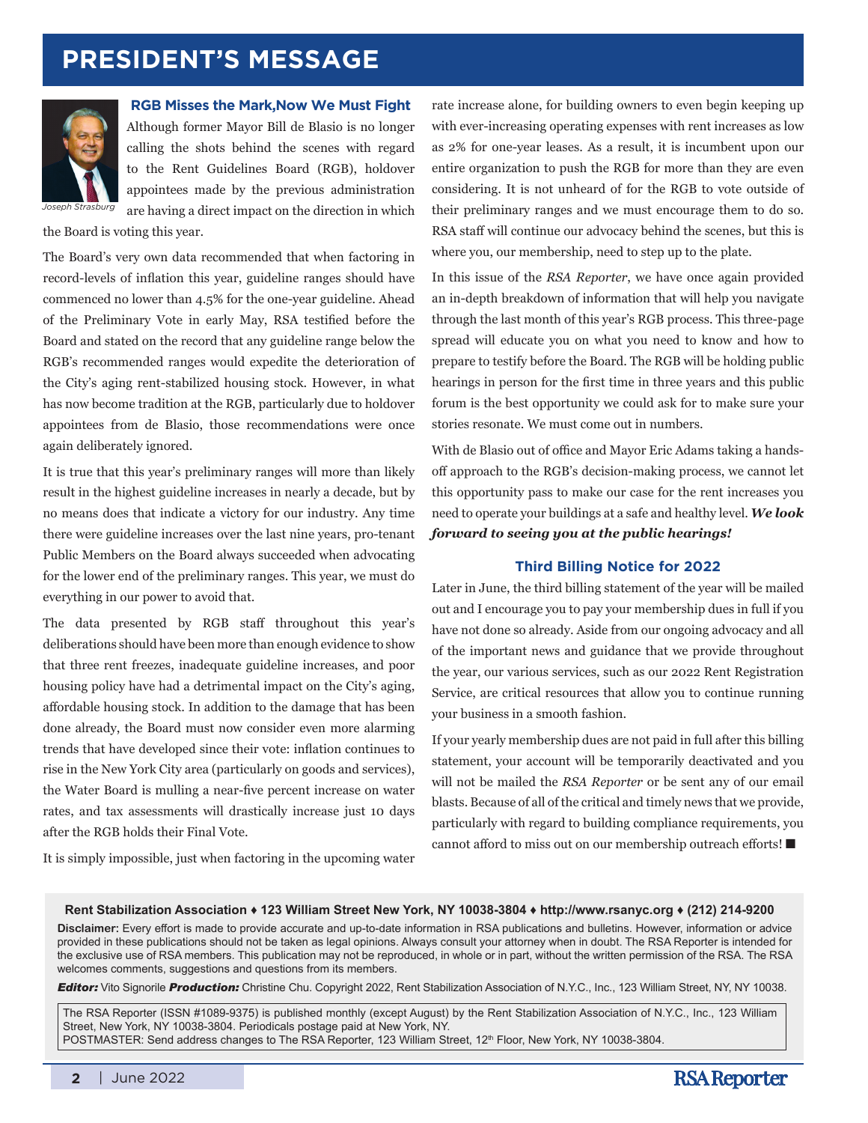# **PRESIDENT's message**



**RGB Misses the Mark,Now We Must Fight** Although former Mayor Bill de Blasio is no longer calling the shots behind the scenes with regard to the Rent Guidelines Board (RGB), holdover appointees made by the previous administration are having a direct impact on the direction in which

the Board is voting this year.

The Board's very own data recommended that when factoring in record-levels of inflation this year, guideline ranges should have commenced no lower than 4.5% for the one-year guideline. Ahead of the Preliminary Vote in early May, RSA testified before the Board and stated on the record that any guideline range below the RGB's recommended ranges would expedite the deterioration of the City's aging rent-stabilized housing stock. However, in what has now become tradition at the RGB, particularly due to holdover appointees from de Blasio, those recommendations were once again deliberately ignored.

It is true that this year's preliminary ranges will more than likely result in the highest guideline increases in nearly a decade, but by no means does that indicate a victory for our industry. Any time there were guideline increases over the last nine years, pro-tenant Public Members on the Board always succeeded when advocating for the lower end of the preliminary ranges. This year, we must do everything in our power to avoid that.

The data presented by RGB staff throughout this year's deliberations should have been more than enough evidence to show that three rent freezes, inadequate guideline increases, and poor housing policy have had a detrimental impact on the City's aging, affordable housing stock. In addition to the damage that has been done already, the Board must now consider even more alarming trends that have developed since their vote: inflation continues to rise in the New York City area (particularly on goods and services), the Water Board is mulling a near-five percent increase on water rates, and tax assessments will drastically increase just 10 days after the RGB holds their Final Vote.

rate increase alone, for building owners to even begin keeping up with ever-increasing operating expenses with rent increases as low as 2% for one-year leases. As a result, it is incumbent upon our entire organization to push the RGB for more than they are even considering. It is not unheard of for the RGB to vote outside of their preliminary ranges and we must encourage them to do so. RSA staff will continue our advocacy behind the scenes, but this is where you, our membership, need to step up to the plate.

In this issue of the *RSA Reporter*, we have once again provided an in-depth breakdown of information that will help you navigate through the last month of this year's RGB process. This three-page spread will educate you on what you need to know and how to prepare to testify before the Board. The RGB will be holding public hearings in person for the first time in three years and this public forum is the best opportunity we could ask for to make sure your stories resonate. We must come out in numbers.

With de Blasio out of office and Mayor Eric Adams taking a handsoff approach to the RGB's decision-making process, we cannot let this opportunity pass to make our case for the rent increases you need to operate your buildings at a safe and healthy level. *We look forward to seeing you at the public hearings!*

#### **Third Billing Notice for 2022**

Later in June, the third billing statement of the year will be mailed out and I encourage you to pay your membership dues in full if you have not done so already. Aside from our ongoing advocacy and all of the important news and guidance that we provide throughout the year, our various services, such as our 2022 Rent Registration Service, are critical resources that allow you to continue running your business in a smooth fashion.

If your yearly membership dues are not paid in full after this billing statement, your account will be temporarily deactivated and you will not be mailed the *RSA Reporter* or be sent any of our email blasts. Because of all of the critical and timely news that we provide, particularly with regard to building compliance requirements, you cannot afford to miss out on our membership outreach efforts!  $\blacksquare$ 

It is simply impossible, just when factoring in the upcoming water

#### **Rent Stabilization Association ♦ 123 William Street New York, NY 10038-3804 ♦ http://www.rsanyc.org ♦ (212) 214-9200**

**Disclaimer:** Every effort is made to provide accurate and up-to-date information in RSA publications and bulletins. However, information or advice provided in these publications should not be taken as legal opinions. Always consult your attorney when in doubt. The RSA Reporter is intended for the exclusive use of RSA members. This publication may not be reproduced, in whole or in part, without the written permission of the RSA. The RSA welcomes comments, suggestions and questions from its members.

*Editor:* Vito Signorile *Production:* Christine Chu. Copyright 2022, Rent Stabilization Association of N.Y.C., Inc., 123 William Street, NY, NY 10038.

The RSA Reporter (ISSN #1089-9375) is published monthly (except August) by the Rent Stabilization Association of N.Y.C., Inc., 123 William Street, New York, NY 10038-3804. Periodicals postage paid at New York, NY. POSTMASTER: Send address changes to The RSA Reporter, 123 William Street, 12<sup>th</sup> Floor, New York, NY 10038-3804.

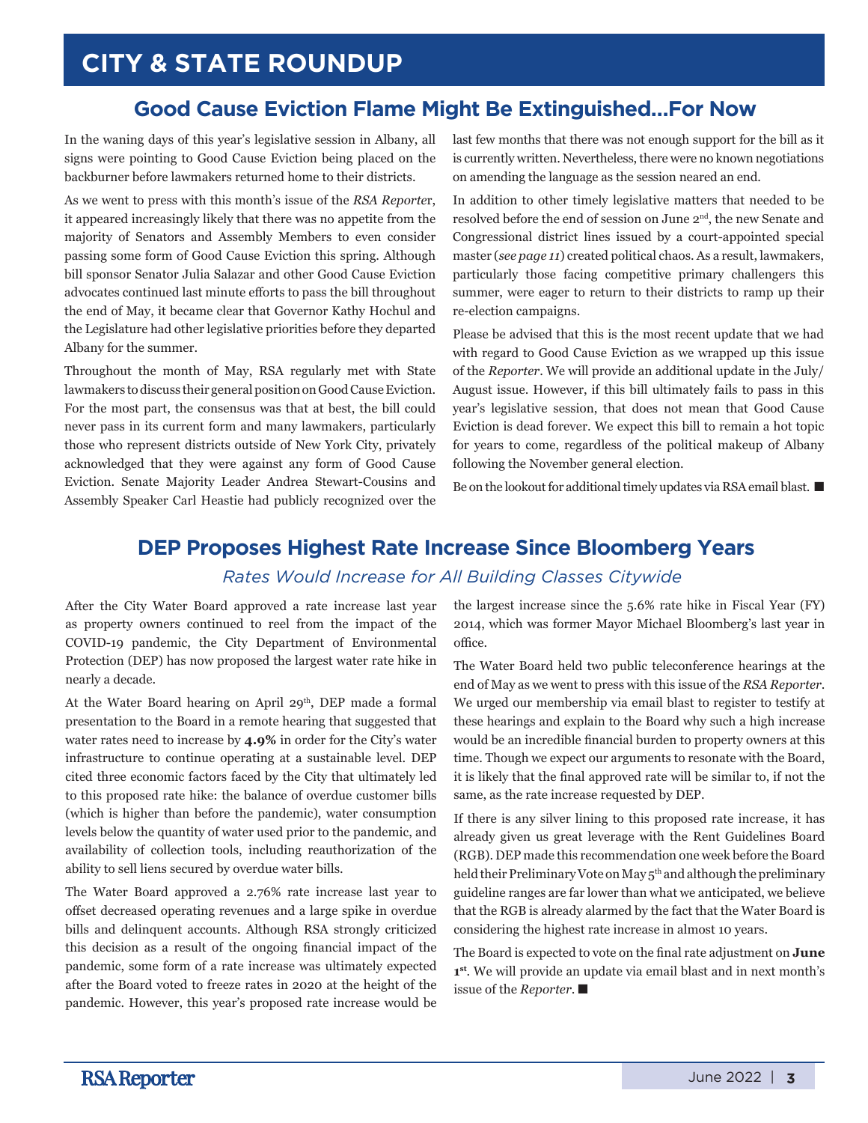## **Good Cause Eviction Flame Might Be Extinguished…For Now**

In the waning days of this year's legislative session in Albany, all signs were pointing to Good Cause Eviction being placed on the backburner before lawmakers returned home to their districts.

As we went to press with this month's issue of the *RSA Reporte*r, it appeared increasingly likely that there was no appetite from the majority of Senators and Assembly Members to even consider passing some form of Good Cause Eviction this spring. Although bill sponsor Senator Julia Salazar and other Good Cause Eviction advocates continued last minute efforts to pass the bill throughout the end of May, it became clear that Governor Kathy Hochul and the Legislature had other legislative priorities before they departed Albany for the summer.

Throughout the month of May, RSA regularly met with State lawmakers to discuss their general position on Good Cause Eviction. For the most part, the consensus was that at best, the bill could never pass in its current form and many lawmakers, particularly those who represent districts outside of New York City, privately acknowledged that they were against any form of Good Cause Eviction. Senate Majority Leader Andrea Stewart-Cousins and Assembly Speaker Carl Heastie had publicly recognized over the last few months that there was not enough support for the bill as it is currently written. Nevertheless, there were no known negotiations on amending the language as the session neared an end.

In addition to other timely legislative matters that needed to be resolved before the end of session on June 2nd, the new Senate and Congressional district lines issued by a court-appointed special master (*see page 11*) created political chaos. As a result, lawmakers, particularly those facing competitive primary challengers this summer, were eager to return to their districts to ramp up their re-election campaigns.

Please be advised that this is the most recent update that we had with regard to Good Cause Eviction as we wrapped up this issue of the *Reporter*. We will provide an additional update in the July/ August issue. However, if this bill ultimately fails to pass in this year's legislative session, that does not mean that Good Cause Eviction is dead forever. We expect this bill to remain a hot topic for years to come, regardless of the political makeup of Albany following the November general election.

Be on the lookout for additional timely updates via RSA email blast.  $\blacksquare$ 

# **DEP Proposes Highest Rate Increase Since Bloomberg Years**

### *Rates Would Increase for All Building Classes Citywide*

After the City Water Board approved a rate increase last year as property owners continued to reel from the impact of the COVID-19 pandemic, the City Department of Environmental Protection (DEP) has now proposed the largest water rate hike in nearly a decade.

At the Water Board hearing on April 29<sup>th</sup>, DEP made a formal presentation to the Board in a remote hearing that suggested that water rates need to increase by **4.9%** in order for the City's water infrastructure to continue operating at a sustainable level. DEP cited three economic factors faced by the City that ultimately led to this proposed rate hike: the balance of overdue customer bills (which is higher than before the pandemic), water consumption levels below the quantity of water used prior to the pandemic, and availability of collection tools, including reauthorization of the ability to sell liens secured by overdue water bills.

The Water Board approved a 2.76% rate increase last year to offset decreased operating revenues and a large spike in overdue bills and delinquent accounts. Although RSA strongly criticized this decision as a result of the ongoing financial impact of the pandemic, some form of a rate increase was ultimately expected after the Board voted to freeze rates in 2020 at the height of the pandemic. However, this year's proposed rate increase would be the largest increase since the 5.6% rate hike in Fiscal Year (FY) 2014, which was former Mayor Michael Bloomberg's last year in office.

The Water Board held two public teleconference hearings at the end of May as we went to press with this issue of the *RSA Reporter*. We urged our membership via email blast to register to testify at these hearings and explain to the Board why such a high increase would be an incredible financial burden to property owners at this time. Though we expect our arguments to resonate with the Board, it is likely that the final approved rate will be similar to, if not the same, as the rate increase requested by DEP.

If there is any silver lining to this proposed rate increase, it has already given us great leverage with the Rent Guidelines Board (RGB). DEP made this recommendation one week before the Board held their Preliminary Vote on May 5<sup>th</sup> and although the preliminary guideline ranges are far lower than what we anticipated, we believe that the RGB is already alarmed by the fact that the Water Board is considering the highest rate increase in almost 10 years.

The Board is expected to vote on the final rate adjustment on **June 1st**. We will provide an update via email blast and in next month's issue of the *Reporter*.